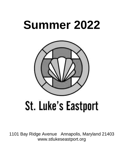# **Summer 2022**



1101 Bay Ridge Avenue Annapolis, Maryland 21403 [www.stlukeseastport.org](http://www.stlukeseastport.org/)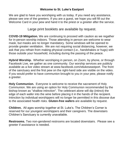#### **Welcome to St. Luke's Eastport**

We are glad to have you worshiping with us today. If you need any assistance, please see one of the greeters. If you are a guest, we hope you will fill out the Welcome Card in your pew and hand it to the priest or a greeter after the service.

Large print booklets are available by request.

**COVID-19 Mitigation.** We are continuing to proceed with caution as we regather for in-person worship indoors. Those attending in person are welcome to wear mask, but masks are no longer mandatory. Some windows will be opened to provide greater ventilation. We are not requiring social distancing, however, we ask that you refrain from making physical contact (i.e., handshakes or hugs) with those outside your household, including during the passing of the peace.

**Hybrid Worship.** Whether worshiping in person, on Zoom, by phone, or through Facebook Live, we gather as one community. Our worship services are publicly available as a live video stream at www.facebook.com/stlukeseastport. The front of the sanctuary and the first pew on the right-hand side are visible on the video. If you would prefer to have communion brought to you in your pew, please notify a greeter.

**Holy Communion.** Everyone is welcome to receive the sacrament of Holy Communion. We are using an option for Holy Communion recommended by the bishop known as "shallow intinction". The celebrant alone will dip (intinct) the edge of each wafer into the wine before placing it in the hands of the recipient. Intinction by individual worshippers will no longer be permitted in this diocese due to the associated health risks. **Gluten-free wafers** are available by request.

**Children.** All ages worship together at St. Luke's. The Children's Corner is reserved for our youngest worshippers and their caregivers. The downstairs Children's Sanctuary is currently unavailable.

**Restrooms.** Two non-gendered restrooms are located downstairs. Please see a greeter if assistance is needed.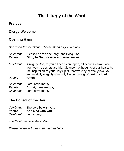# **The Liturgy of the Word**

#### **Prelude**

## **Clergy Welcome**

## **Opening Hymn**

*See insert for selections. Please stand as you are able.*

| Celebrant | Blessed be the one, holy, and living God.                                                                                                                                                                                                                                       |
|-----------|---------------------------------------------------------------------------------------------------------------------------------------------------------------------------------------------------------------------------------------------------------------------------------|
| People    | Glory to God for ever and ever. Amen.                                                                                                                                                                                                                                           |
| Celebrant | Almighty God, to you all hearts are open, all desires known, and<br>from you no secrets are hid: Cleanse the thoughts of our hearts by<br>the inspiration of your Holy Spirit, that we may perfectly love you,<br>and worthily magnify your holy Name; through Christ our Lord. |
| People    | Amen.                                                                                                                                                                                                                                                                           |
| Celebrant | Lord, have mercy,                                                                                                                                                                                                                                                               |
| Pennle    | Christ have mercy                                                                                                                                                                                                                                                               |

*People* **Christ, have mercy,** Lord, have mercy.

#### **The Collect of the Day**

| Celebrant | The Lord be with you. |
|-----------|-----------------------|
| People    | And also with you.    |
| Celebrant | Let us pray.          |

*The Celebrant says the collect.*

*Please be seated. See insert for readings.*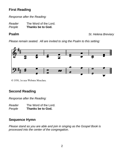### **First Reading**

*Response after the Reading:*

*Reader* The Word of the Lord. *People* **Thanks be to God.**

**Psalm** *St. Helena Breviary*

*Please remain seated. All are invited to sing the Psalm to this setting:*



© 1956, Jerome Webster Meachen.

#### **Second Reading**

*Response after the Reading:*

*Reader* The Word of the Lord. *People* **Thanks be to God.**

#### **Sequence Hymn**

*Please stand as you are able and join in singing as the Gospel Book is processed into the center of the congregation.*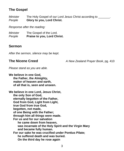#### **The Gospel**

*Minister* The Holy Gospel of our Lord Jesus Christ according to  $\qquad \qquad$ . *People* **Glory to you, Lord Christ.** 

*Response after the reading:*

*Minister* The Gospel of the Lord. *People* **Praise to you, Lord Christ.** 

#### **Sermon**

*After the sermon, silence may be kept.*

**The Nicene Creed** *A New Zealand Prayer Book*, pg. 410

*Please stand as you are able.*

**We believe in one God, the Father, the Almighty, maker of heaven and earth, of all that is, seen and unseen.**

**We believe in one Lord, Jesus Christ, the only Son of God, eternally begotten of the Father, God from God, Light from Light, true God from true God, begotten, not made, of one Being with the Father; through him all things were made. For us and for our salvation he came down from heaven, was incarnate of the Holy Spirit and the Virgin Mary and became fully human. For our sake he was crucified under Pontius Pilate; he suffered death and was buried. On the third day he rose again**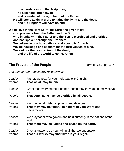**in accordance with the Scriptures; he ascended into heaven and is seated at the right hand of the Father. He will come again in glory to judge the living and the dead, and his kingdom will have no end.**

**We believe in the Holy Spirit, the Lord, the giver of life, who proceeds from the Father and the Son, who in unity with the Father and the Son is worshiped and glorified, and has spoken through the Prophets. We believe in one holy catholic and apostolic Church. We acknowledge one baptism for the forgiveness of sins. We look for the resurrection of the dead, and the life of the world to come. Amen.**

#### **The Prayers of the People** *Form III, BCP pg. 387*

*The Leader and People pray responsively.* 

| Leader<br>People | Father, we pray for your holy Catholic Church;<br>That we all may be one.                                             |
|------------------|-----------------------------------------------------------------------------------------------------------------------|
| Leader           | Grant that every member of the Church may truly and humbly serve<br>you;                                              |
| People           | That your Name may be glorified by all people.                                                                        |
| Leader<br>People | We pray for all bishops, priests, and deacons;<br>That they may be faithful ministers of your Word and<br>Sacraments. |
| Leader           | We pray for all who govern and hold authority in the nations of the<br>world;                                         |
| People           | That there may be justice and peace on the earth.                                                                     |
| Leader<br>People | Give us grace to do your will in all that we undertake;<br>That our works may find favor in your sight.               |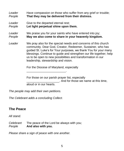*Leader* Have compassion on those who suffer from any grief or trouble; *People* **That they may be delivered from their distress.** *Leader* Give to the departed eternal rest; *People* **Let light perpetual shine upon them.** *Leader* We praise you for your saints who have entered into joy; *People* **May we also come to share in your heavenly kingdom.** *Leader* We pray also for the special needs and concerns of this church community. Dear God, Creator, Redeemer, Sustainer, who has guided St. Luke's for Your purposes, we thank You for your many blessings. Continue to guide and strengthen our life together; help us to be open to new possibilities and transformation in our leadership, stewardship and vision. For the Diocese of Maryland, especially \_\_\_\_\_\_\_\_\_\_\_\_\_\_\_\_\_\_\_\_\_\_\_\_. For those on our parish prayer list, especially

\_\_\_\_\_\_\_\_\_\_\_\_\_\_\_\_\_\_\_\_. And for those we name at this time,

aloud or in our hearts.

*The people may add their own petitions.*

*The Celebrant adds a concluding Collect.*

#### **The Peace**

*All stand.*

*Celebrant* The peace of the Lord be always with you; *People* **And also with you.**

*Please share a sign of peace with one another.*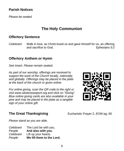#### **Parish Notices**

*Please be seated.*

## **The Holy Communion**

#### **Offertory Sentence**

*Celebrant* Walk in love, as Christ loved us and gave himself for us, an offering and sacrifice to God. *Ephesians 5:2*

#### **Offertory Anthem or Hymn**

*See insert. Please remain seated.*

*As part of our worship, offerings are received to support the work of the Church locally, nationally, and globally. Offerings may be placed in the plate at the back of the church or given online.*

*For online giving, scan the QR code to the right or visit www.stlukeseastport.org and click on "Giving". Blue online giving cards are also available in your pew and may be placed in the plate as a tangible sign of your online gift.*



**The Great Thanksgiving** Eucharistic Prayer 2, *EOW* pg. 60

*Please stand as you are able.*

| Celebrant | The Lord be with you.     |
|-----------|---------------------------|
| People    | And also with you.        |
| Celebrant | Lift up your hearts.      |
| People    | We lift them to the Lord. |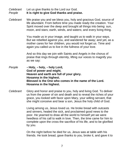*Celebrant* Let us give thanks to the Lord our God. *People* **It is right to give God thanks and praise.**

*Celebrant* We praise you and we bless you, holy and gracious God, source of life abundant. From before time you made ready the creation. Your Spirit moved over the deep and brought all things into being: sun, moon, and stars; earth, winds, and waters; and every living thing.

> You made us in your image, and taught us to walk in your ways. But we rebelled against you, and wandered far away; and yet, as a mother cares for her children, you would not forget us. Time and again you called us to live in the fullness of your love.

And so this day we join with Saints and Angels in the chorus of praise that rings through eternity, lifting our voices to magnify you as we say:

*People* + **Holy,** + **holy,** + **holy Lord, God of power and might. Heaven and earth are full of your glory. Hosanna in the highest. Blessed is the One who comes in the name of the Lord. Hosanna in the highest.**

*Celebrant* Glory and honor and praise to you, holy and living God. To deliver us from the power of sin and death and to reveal the riches of your grace, you looked with favor upon Mary, your willing servant, that she might conceive and bear a son, Jesus the holy child of God.

> Living among us, Jesus loved us. He broke bread with outcasts and sinners, healed the sick, and proclaimed good news to the poor. He yearned to draw all the world to himself yet we were heedless of his call to walk in love. Then, the time came for him to complete upon the cross the sacrifice of his life, and to be glorified by you.

> On the night before he died for us, Jesus was at table with his friends. He took bread, gave thanks to you, broke it, and gave it to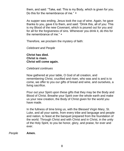them, and said: "Take, eat: This is my Body, which is given for you. Do this for the remembrance of me." +

As supper was ending, Jesus took the cup of wine. Again, he gave thanks to you, gave it to them, and said: "Drink this, all of you: This is my Blood of the new Covenant, which is poured out for you and for all for the forgiveness of sins. Whenever you drink it, do this for the remembrance of me." +

Therefore, we proclaim the mystery of faith:

*Celebrant and People*

**Christ has died. Christ is risen. Christ will come again.**

*Celebrant continues*

Now gathered at your table, O God of all creation, and remembering Christ, crucified and risen, who was and is and is to come, we offer to you our gifts of bread and wine, and ourselves, a living sacrifice.

Pour out your Spirit upon these gifts that they may be the Body and Blood of Christ. Breathe your Spirit over the whole earth and make us your new creation, the Body of Christ given for the world you have made.

In the fullness of time bring us, with the Blessed Virgin Mary, St. Luke, and all your saints, from every tribe and language and people and nation, to feast at the banquet prepared from the foundation of the world. Through Christ and with Christ and in Christ, in the unity of the Holy Spirit, to you be honor, glory, and praise, for ever and ever.

*People* **Amen***.*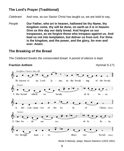#### **The Lord's Prayer (Traditional)**

*Celebrant* And now, as our Savior Christ has taught us, we are bold to say,

*People* **Our Father, who art in heaven, hallowed be thy Name, thy kingdom come, thy will be done, on earth as it is in heaven. Give us this day our daily bread. And forgive us our trespasses, as we forgive those who trespass against us. And lead us not into temptation, but deliver us from evil. For thine is the kingdom, and the power, and the glory, for ever and ever. Amen.**

#### **The Breaking of the Bread**

*The Celebrant breaks the consecrated bread. A period of silence is kept.*

#### **Fraction Anthem Hymnal S-171**



Mode 6 Melody; adapt. Mason Martens (1933-1991)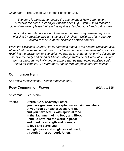*Celebrant* The Gifts of God for the People of God.

*Everyone is welcome to receive the sacrament of Holy Communion. To receive the bread, extend your hands palms up. If you wish to receive a gluten-free wafer, please indicate this by first extending your hands palms down.*

*Any individual who prefers not to receive the bread may instead request a blessing by crossing their arms across their chest. Children of any age are invited to receive at the discretion of their parents.*

*While the Episcopal Church, like all churches rooted in the historic Christian faith, affirms that the sacrament of Baptism is the ancient and normative entry point for receiving the sacrament of Eucharist, we also believe that anyone who desires to receive the body and blood of Christ is always welcome at God's table. If you are not baptized, we invite you to explore with us what being baptized could mean for your life. To learn more, speak with the priest after the service.*

#### **Communion Hymn**

*See insert for selections. Please remain seated.*

#### **Post-Communion Prayer** *BCP***, pg. 365**

*Celebrant* Let us pray.

*People* **Eternal God, heavenly Father, you have graciously accepted us as living members of your Son our Savior Jesus Christ, and you have fed us with spiritual food in the Sacrament of his Body and Blood. Send us now into the world in peace, and grant us strength and courage to love and serve you with gladness and singleness of heart; through Christ our Lord. Amen.**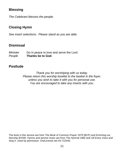### **Blessing**

*The Celebrant blesses the people.*

#### **Closing Hymn**

*See insert selections. Please stand as you are able.*

#### **Dismissal**

*Minister* Go in peace to love and serve the Lord. *People* **Thanks be to God**.

#### **Postlude**

*Thank you for worshiping with us today. Please return this worship booklet to the basket in the foyer, unless you wish to take it with you for personal use. You are encouraged to take any inserts with you.*

The texts in this service are from *The Book of Common Prayer 1979* (BCP) and *Enriching our Worship* (EOW). Hymns and service music are from *The Hymnal 1982* and *Lift Every Voice and Sing II*. Used by permission. OneLicense.net #A-722440.